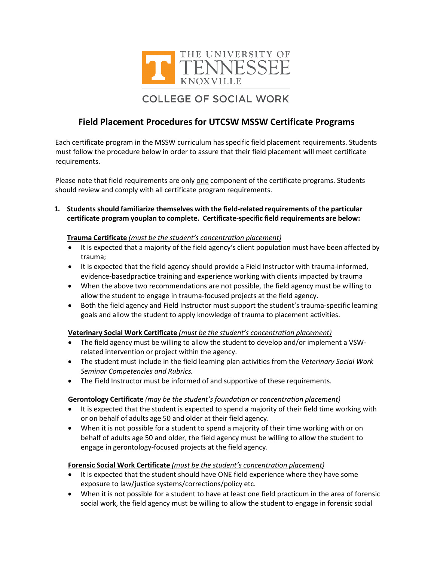

# **COLLEGE OF SOCIAL WORK**

## **Field Placement Procedures for UTCSW MSSW Certificate Programs**

Each certificate program in the MSSW curriculum has specific field placement requirements. Students must follow the procedure below in order to assure that their field placement will meet certificate requirements.

Please note that field requirements are only one component of the certificate programs. Students should review and comply with all certificate program requirements.

**1. Students should familiarize themselves with the field-related requirements of the particular certificate program youplan to complete. Certificate-specific field requirements are below:**

#### **Trauma Certificate** *(must be the student's concentration placement)*

- It is expected that a majority of the field agency's client population must have been affected by trauma;
- It is expected that the field agency should provide a Field Instructor with trauma-informed, evidence-basedpractice training and experience working with clients impacted by trauma
- When the above two recommendations are not possible, the field agency must be willing to allow the student to engage in trauma-focused projects at the field agency.
- Both the field agency and Field Instructor must support the student's trauma-specific learning goals and allow the student to apply knowledge of trauma to placement activities.

#### **Veterinary Social Work Certificate** *(must be the student's concentration placement)*

- The field agency must be willing to allow the student to develop and/or implement a VSWrelated intervention or project within the agency.
- The student must include in the field learning plan activities from the *Veterinary Social Work Seminar Competencies and Rubrics.*
- The Field Instructor must be informed of and supportive of these requirements.

#### **Gerontology Certificate** *(may be the student's foundation or concentration placement)*

- It is expected that the student is expected to spend a majority of their field time working with or on behalf of adults age 50 and older at their field agency.
- When it is not possible for a student to spend a majority of their time working with or on behalf of adults age 50 and older, the field agency must be willing to allow the student to engage in gerontology-focused projects at the field agency.

#### **Forensic Social Work Certificate** *(must be the student's concentration placement)*

- It is expected that the student should have ONE field experience where they have some exposure to law/justice systems/corrections/policy etc.
- When it is not possible for a student to have at least one field practicum in the area of forensic social work, the field agency must be willing to allow the student to engage in forensic social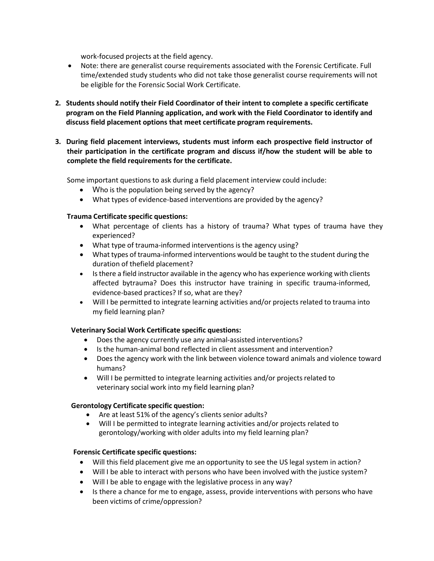work-focused projects at the field agency.

- Note: there are generalist course requirements associated with the Forensic Certificate. Full time/extended study students who did not take those generalist course requirements will not be eligible for the Forensic Social Work Certificate.
- **2. Students should notify their Field Coordinator of their intent to complete a specific certificate program on the Field Planning application, and work with the Field Coordinator to identify and discuss field placement options that meet certificate program requirements.**
- **3. During field placement interviews, students must inform each prospective field instructor of their participation in the certificate program and discuss if/how the student will be able to complete the field requirements for the certificate.**

Some important questions to ask during a field placement interview could include:

- Who is the population being served by the agency?
- What types of evidence-based interventions are provided by the agency?

#### **Trauma Certificate specific questions:**

- What percentage of clients has a history of trauma? What types of trauma have they experienced?
- What type of trauma-informed interventions is the agency using?
- What types of trauma-informed interventions would be taught to the student during the duration of thefield placement?
- Isthere a field instructor available in the agency who has experience working with clients affected bytrauma? Does this instructor have training in specific trauma-informed, evidence-based practices? If so, what are they?
- Will I be permitted to integrate learning activities and/or projects related to trauma into my field learning plan?

### **Veterinary Social Work Certificate specific questions:**

- Does the agency currently use any animal-assisted interventions?
- Is the human-animal bond reflected in client assessment and intervention?
- Does the agency work with the link between violence toward animals and violence toward humans?
- Will I be permitted to integrate learning activities and/or projects related to veterinary social work into my field learning plan?

#### **Gerontology Certificate specific question:**

- Are at least 51% of the agency's clients senior adults?
- Will I be permitted to integrate learning activities and/or projects related to gerontology/working with older adults into my field learning plan?

#### **Forensic Certificate specific questions:**

- Will this field placement give me an opportunity to see the US legal system in action?
- Will I be able to interact with persons who have been involved with the justice system?
- Will I be able to engage with the legislative process in any way?
- Is there a chance for me to engage, assess, provide interventions with persons who have been victims of crime/oppression?